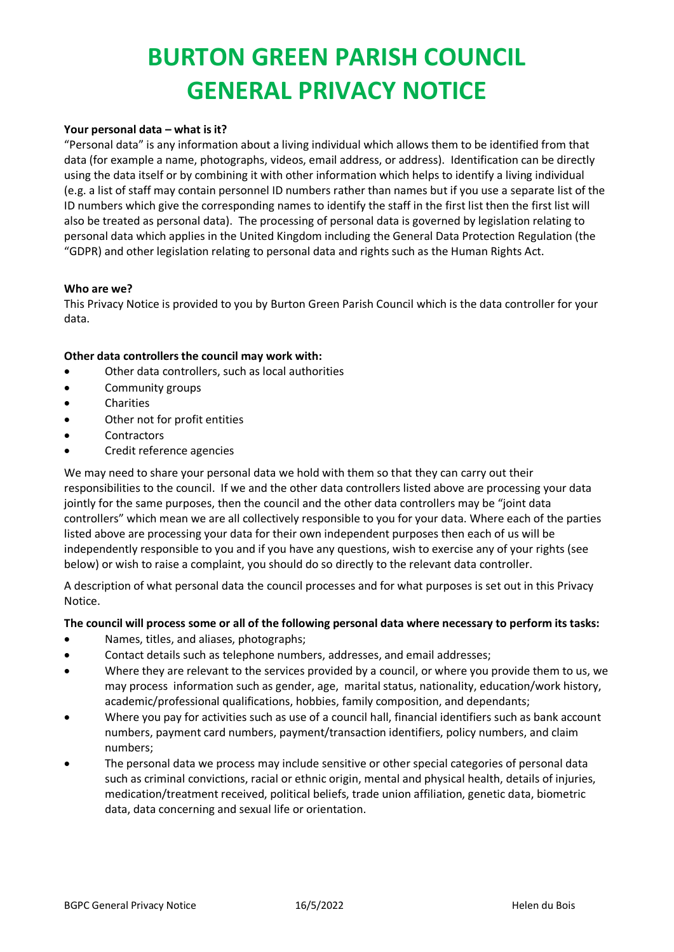### **Your personal data – what is it?**

"Personal data" is any information about a living individual which allows them to be identified from that data (for example a name, photographs, videos, email address, or address). Identification can be directly using the data itself or by combining it with other information which helps to identify a living individual (e.g. a list of staff may contain personnel ID numbers rather than names but if you use a separate list of the ID numbers which give the corresponding names to identify the staff in the first list then the first list will also be treated as personal data). The processing of personal data is governed by legislation relating to personal data which applies in the United Kingdom including the General Data Protection Regulation (the "GDPR) and other legislation relating to personal data and rights such as the Human Rights Act.

### **Who are we?**

This Privacy Notice is provided to you by Burton Green Parish Council which is the data controller for your data.

### **Other data controllers the council may work with:**

- Other data controllers, such as local authorities
- Community groups
- Charities
- Other not for profit entities
- **Contractors**
- Credit reference agencies

We may need to share your personal data we hold with them so that they can carry out their responsibilities to the council. If we and the other data controllers listed above are processing your data jointly for the same purposes, then the council and the other data controllers may be "joint data controllers" which mean we are all collectively responsible to you for your data. Where each of the parties listed above are processing your data for their own independent purposes then each of us will be independently responsible to you and if you have any questions, wish to exercise any of your rights (see below) or wish to raise a complaint, you should do so directly to the relevant data controller.

A description of what personal data the council processes and for what purposes is set out in this Privacy Notice.

### **The council will process some or all of the following personal data where necessary to perform its tasks:**

- Names, titles, and aliases, photographs;
- Contact details such as telephone numbers, addresses, and email addresses;
- Where they are relevant to the services provided by a council, or where you provide them to us, we may process information such as gender, age, marital status, nationality, education/work history, academic/professional qualifications, hobbies, family composition, and dependants;
- Where you pay for activities such as use of a council hall, financial identifiers such as bank account numbers, payment card numbers, payment/transaction identifiers, policy numbers, and claim numbers;
- The personal data we process may include sensitive or other special categories of personal data such as criminal convictions, racial or ethnic origin, mental and physical health, details of injuries, medication/treatment received, political beliefs, trade union affiliation, genetic data, biometric data, data concerning and sexual life or orientation.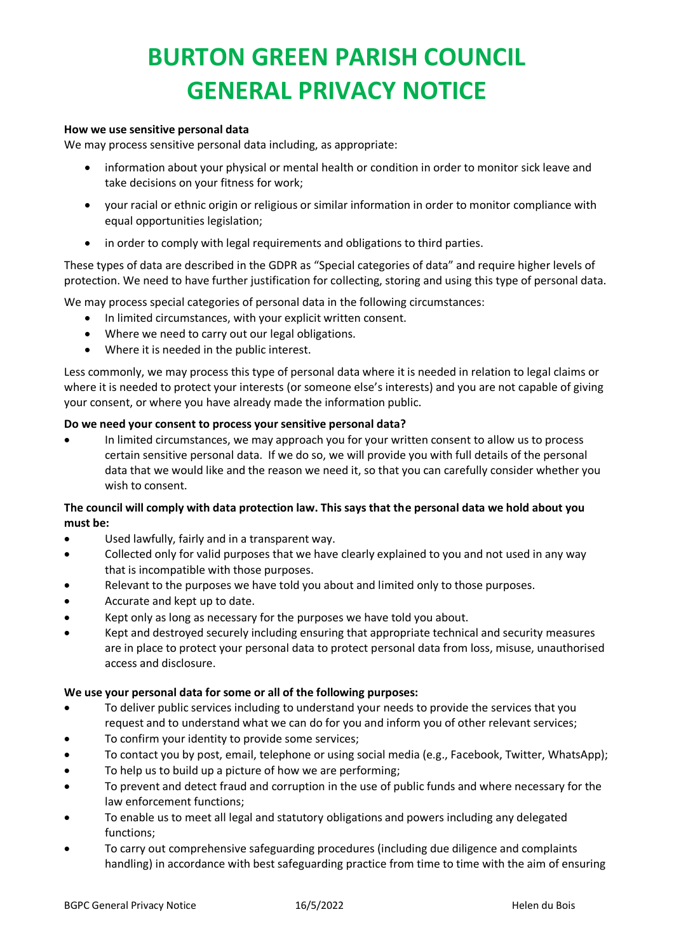#### **How we use sensitive personal data**

We may process sensitive personal data including, as appropriate:

- information about your physical or mental health or condition in order to monitor sick leave and take decisions on your fitness for work;
- your racial or ethnic origin or religious or similar information in order to monitor compliance with equal opportunities legislation;
- in order to comply with legal requirements and obligations to third parties.

These types of data are described in the GDPR as "Special categories of data" and require higher levels of protection. We need to have further justification for collecting, storing and using this type of personal data.

We may process special categories of personal data in the following circumstances:

- In limited circumstances, with your explicit written consent.
- Where we need to carry out our legal obligations.
- Where it is needed in the public interest.

Less commonly, we may process this type of personal data where it is needed in relation to legal claims or where it is needed to protect your interests (or someone else's interests) and you are not capable of giving your consent, or where you have already made the information public.

### **Do we need your consent to process your sensitive personal data?**

• In limited circumstances, we may approach you for your written consent to allow us to process certain sensitive personal data. If we do so, we will provide you with full details of the personal data that we would like and the reason we need it, so that you can carefully consider whether you wish to consent.

## **The council will comply with data protection law. This says that the personal data we hold about you must be:**

- Used lawfully, fairly and in a transparent way.
- Collected only for valid purposes that we have clearly explained to you and not used in any way that is incompatible with those purposes.
- Relevant to the purposes we have told you about and limited only to those purposes.
- Accurate and kept up to date.
- Kept only as long as necessary for the purposes we have told you about.
- Kept and destroyed securely including ensuring that appropriate technical and security measures are in place to protect your personal data to protect personal data from loss, misuse, unauthorised access and disclosure.

### **We use your personal data for some or all of the following purposes:**

- To deliver public services including to understand your needs to provide the services that you request and to understand what we can do for you and inform you of other relevant services;
- To confirm your identity to provide some services:
- To contact you by post, email, telephone or using social media (e.g., Facebook, Twitter, WhatsApp);
- To help us to build up a picture of how we are performing;
- To prevent and detect fraud and corruption in the use of public funds and where necessary for the law enforcement functions;
- To enable us to meet all legal and statutory obligations and powers including any delegated functions;
- To carry out comprehensive safeguarding procedures (including due diligence and complaints handling) in accordance with best safeguarding practice from time to time with the aim of ensuring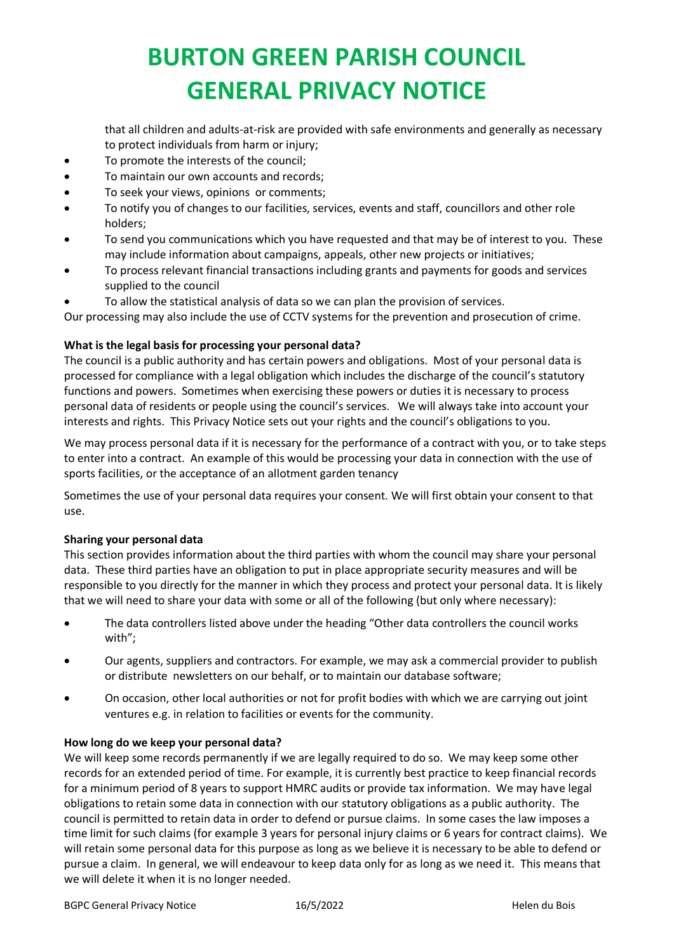that all children and adults-at-risk are provided with safe environments and generally as necessary to protect individuals from harm or injury;

- To promote the interests of the council;
- To maintain our own accounts and records;
- To seek your views, opinions or comments;
- To notify you of changes to our facilities, services, events and staff, councillors and other role holders;
- To send you communications which you have requested and that may be of interest to you. These may include information about campaigns, appeals, other new projects or initiatives;
- To process relevant financial transactions including grants and payments for goods and services supplied to the council
- To allow the statistical analysis of data so we can plan the provision of services.

Our processing may also include the use of CCTV systems for the prevention and prosecution of crime.

## **What is the legal basis for processing your personal data?**

The council is a public authority and has certain powers and obligations. Most of your personal data is processed for compliance with a legal obligation which includes the discharge of the council's statutory functions and powers. Sometimes when exercising these powers or duties it is necessary to process personal data of residents or people using the council's services. We will always take into account your interests and rights. This Privacy Notice sets out your rights and the council's obligations to you.

We may process personal data if it is necessary for the performance of a contract with you, or to take steps to enter into a contract. An example of this would be processing your data in connection with the use of sports facilities, or the acceptance of an allotment garden tenancy

Sometimes the use of your personal data requires your consent. We will first obtain your consent to that use.

### **Sharing your personal data**

This section provides information about the third parties with whom the council may share your personal data. These third parties have an obligation to put in place appropriate security measures and will be responsible to you directly for the manner in which they process and protect your personal data. It is likely that we will need to share your data with some or all of the following (but only where necessary):

- The data controllers listed above under the heading "Other data controllers the council works with";
- Our agents, suppliers and contractors. For example, we may ask a commercial provider to publish or distribute newsletters on our behalf, or to maintain our database software;
- On occasion, other local authorities or not for profit bodies with which we are carrying out joint ventures e.g. in relation to facilities or events for the community.

### **How long do we keep your personal data?**

We will keep some records permanently if we are legally required to do so. We may keep some other records for an extended period of time. For example, it is currently best practice to keep financial records for a minimum period of 8 years to support HMRC audits or provide tax information. We may have legal obligations to retain some data in connection with our statutory obligations as a public authority. The council is permitted to retain data in order to defend or pursue claims. In some cases the law imposes a time limit for such claims (for example 3 years for personal injury claims or 6 years for contract claims). We will retain some personal data for this purpose as long as we believe it is necessary to be able to defend or pursue a claim. In general, we will endeavour to keep data only for as long as we need it. This means that we will delete it when it is no longer needed.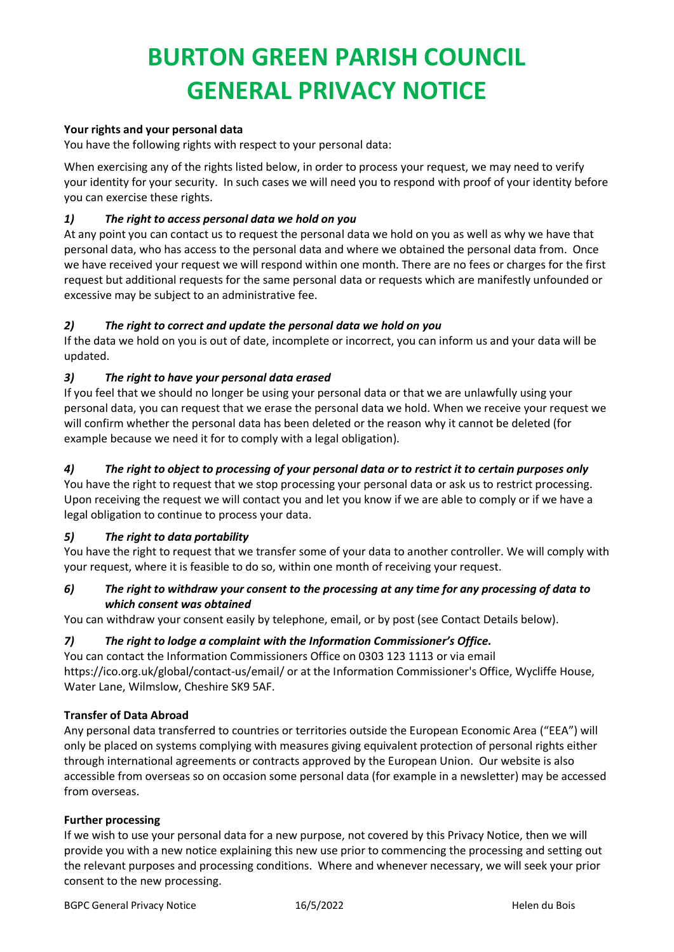## **Your rights and your personal data**

You have the following rights with respect to your personal data:

When exercising any of the rights listed below, in order to process your request, we may need to verify your identity for your security. In such cases we will need you to respond with proof of your identity before you can exercise these rights.

## *1) The right to access personal data we hold on you*

At any point you can contact us to request the personal data we hold on you as well as why we have that personal data, who has access to the personal data and where we obtained the personal data from. Once we have received your request we will respond within one month. There are no fees or charges for the first request but additional requests for the same personal data or requests which are manifestly unfounded or excessive may be subject to an administrative fee.

## *2) The right to correct and update the personal data we hold on you*

If the data we hold on you is out of date, incomplete or incorrect, you can inform us and your data will be updated.

## *3) The right to have your personal data erased*

If you feel that we should no longer be using your personal data or that we are unlawfully using your personal data, you can request that we erase the personal data we hold. When we receive your request we will confirm whether the personal data has been deleted or the reason why it cannot be deleted (for example because we need it for to comply with a legal obligation).

## *4) The right to object to processing of your personal data or to restrict it to certain purposes only*

You have the right to request that we stop processing your personal data or ask us to restrict processing. Upon receiving the request we will contact you and let you know if we are able to comply or if we have a legal obligation to continue to process your data.

### *5) The right to data portability*

You have the right to request that we transfer some of your data to another controller. We will comply with your request, where it is feasible to do so, within one month of receiving your request.

## *6) The right to withdraw your consent to the processing at any time for any processing of data to which consent was obtained*

You can withdraw your consent easily by telephone, email, or by post (see Contact Details below).

## *7) The right to lodge a complaint with the Information Commissioner's Office.*

You can contact the Information Commissioners Office on 0303 123 1113 or via email https://ico.org.uk/global/contact-us/email/ or at the Information Commissioner's Office, Wycliffe House, Water Lane, Wilmslow, Cheshire SK9 5AF.

### **Transfer of Data Abroad**

Any personal data transferred to countries or territories outside the European Economic Area ("EEA") will only be placed on systems complying with measures giving equivalent protection of personal rights either through international agreements or contracts approved by the European Union. Our website is also accessible from overseas so on occasion some personal data (for example in a newsletter) may be accessed from overseas.

### **Further processing**

If we wish to use your personal data for a new purpose, not covered by this Privacy Notice, then we will provide you with a new notice explaining this new use prior to commencing the processing and setting out the relevant purposes and processing conditions. Where and whenever necessary, we will seek your prior consent to the new processing.